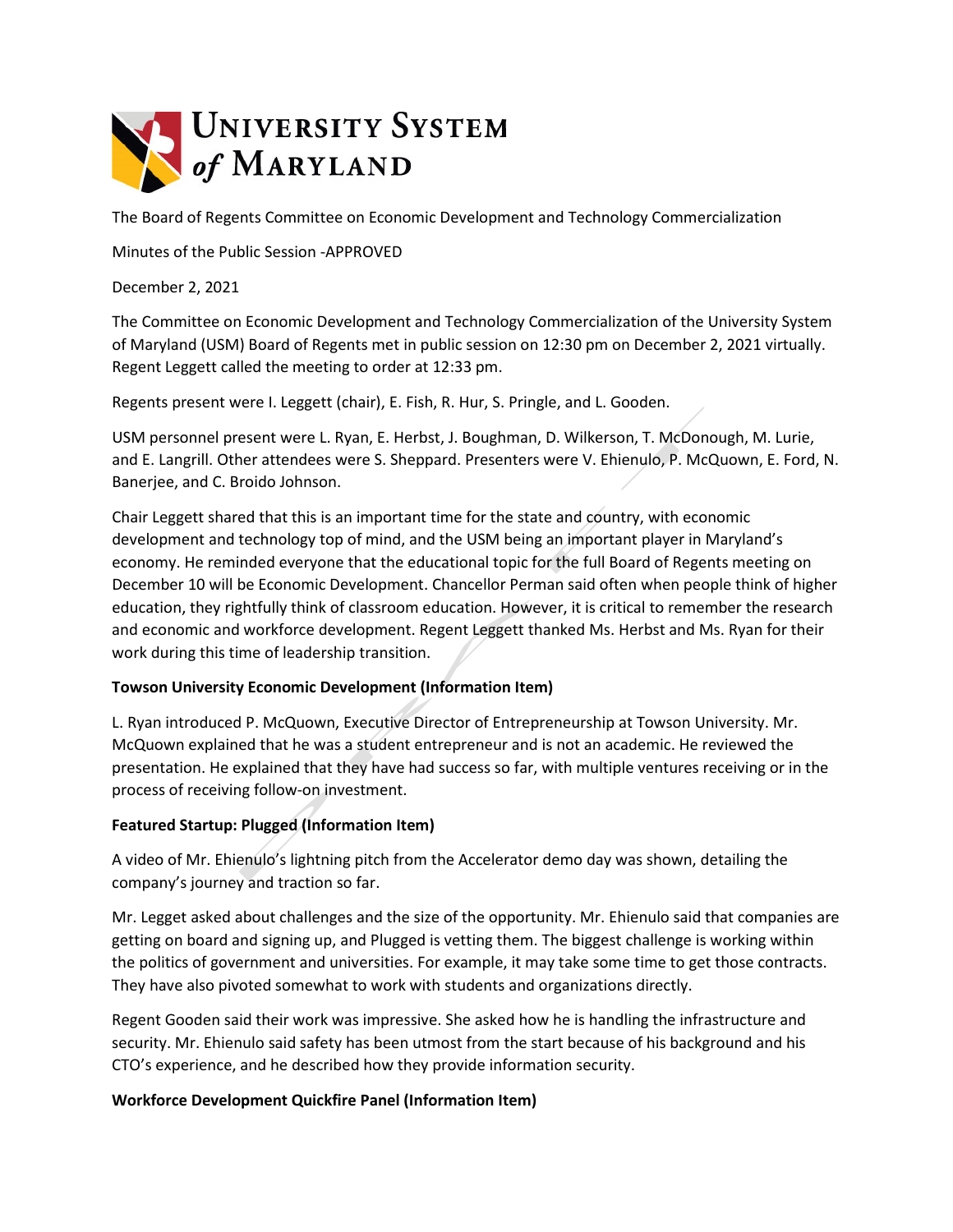

The Board of Regents Committee on Economic Development and Technology Commercialization

Minutes of the Public Session -APPROVED

December 2, 2021

The Committee on Economic Development and Technology Commercialization of the University System of Maryland (USM) Board of Regents met in public session on 12:30 pm on December 2, 2021 virtually. Regent Leggett called the meeting to order at 12:33 pm.

Regents present were I. Leggett (chair), E. Fish, R. Hur, S. Pringle, and L. Gooden.

USM personnel present were L. Ryan, E. Herbst, J. Boughman, D. Wilkerson, T. McDonough, M. Lurie, and E. Langrill. Other attendees were S. Sheppard. Presenters were V. Ehienulo, P. McQuown, E. Ford, N. Banerjee, and C. Broido Johnson.

Chair Leggett shared that this is an important time for the state and country, with economic development and technology top of mind, and the USM being an important player in Maryland's economy. He reminded everyone that the educational topic for the full Board of Regents meeting on December 10 will be Economic Development. Chancellor Perman said often when people think of higher education, they rightfully think of classroom education. However, it is critical to remember the research and economic and workforce development. Regent Leggett thanked Ms. Herbst and Ms. Ryan for their work during this time of leadership transition.

# **Towson University Economic Development (Information Item)**

L. Ryan introduced P. McQuown, Executive Director of Entrepreneurship at Towson University. Mr. McQuown explained that he was a student entrepreneur and is not an academic. He reviewed the presentation. He explained that they have had success so far, with multiple ventures receiving or in the process of receiving follow-on investment.

# **Featured Startup: Plugged (Information Item)**

A video of Mr. Ehienulo's lightning pitch from the Accelerator demo day was shown, detailing the company's journey and traction so far.

Mr. Legget asked about challenges and the size of the opportunity. Mr. Ehienulo said that companies are getting on board and signing up, and Plugged is vetting them. The biggest challenge is working within the politics of government and universities. For example, it may take some time to get those contracts. They have also pivoted somewhat to work with students and organizations directly.

Regent Gooden said their work was impressive. She asked how he is handling the infrastructure and security. Mr. Ehienulo said safety has been utmost from the start because of his background and his CTO's experience, and he described how they provide information security.

# **Workforce Development Quickfire Panel (Information Item)**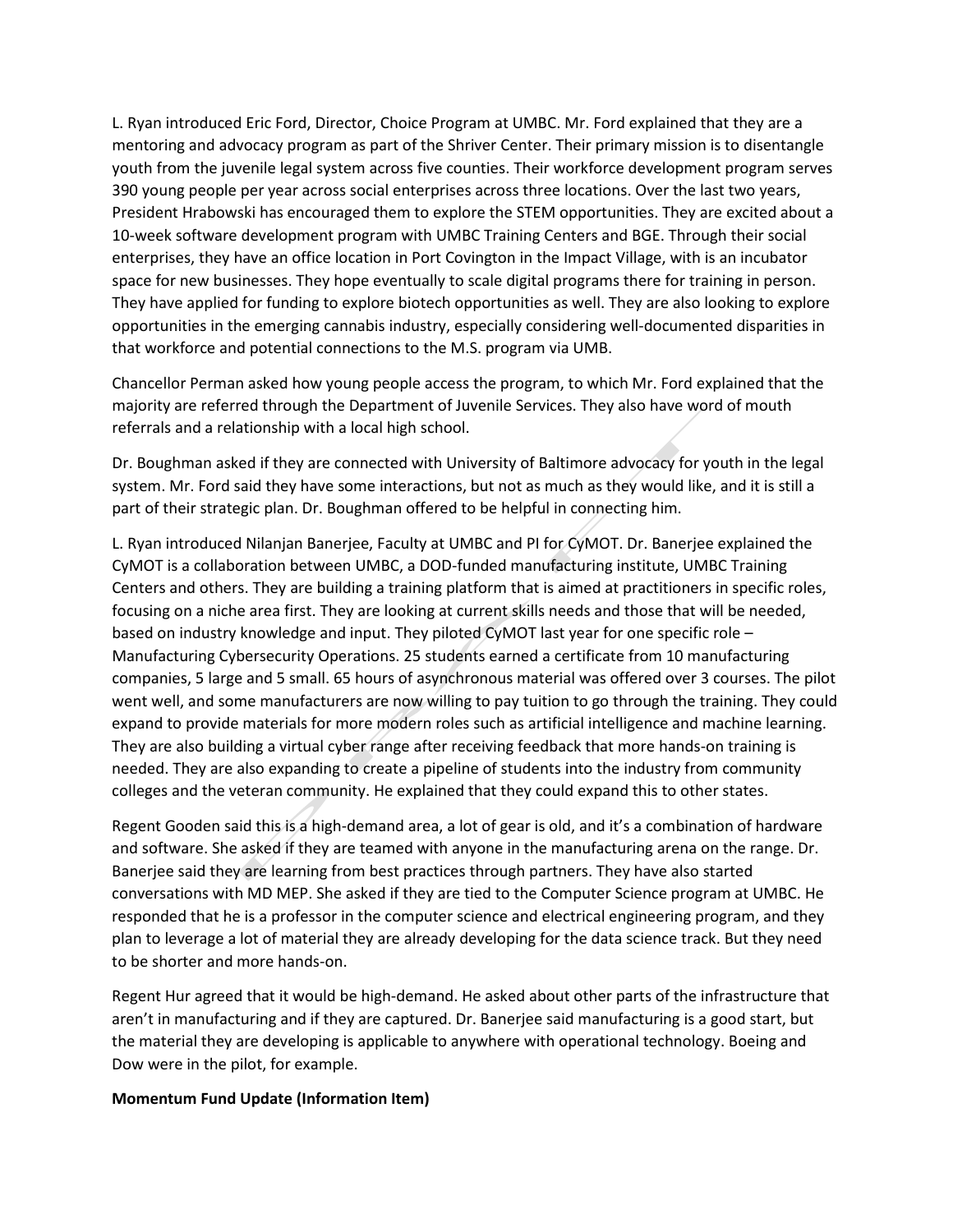L. Ryan introduced Eric Ford, Director, Choice Program at UMBC. Mr. Ford explained that they are a mentoring and advocacy program as part of the Shriver Center. Their primary mission is to disentangle youth from the juvenile legal system across five counties. Their workforce development program serves 390 young people per year across social enterprises across three locations. Over the last two years, President Hrabowski has encouraged them to explore the STEM opportunities. They are excited about a 10-week software development program with UMBC Training Centers and BGE. Through their social enterprises, they have an office location in Port Covington in the Impact Village, with is an incubator space for new businesses. They hope eventually to scale digital programs there for training in person. They have applied for funding to explore biotech opportunities as well. They are also looking to explore opportunities in the emerging cannabis industry, especially considering well-documented disparities in that workforce and potential connections to the M.S. program via UMB.

Chancellor Perman asked how young people access the program, to which Mr. Ford explained that the majority are referred through the Department of Juvenile Services. They also have word of mouth referrals and a relationship with a local high school.

Dr. Boughman asked if they are connected with University of Baltimore advocacy for youth in the legal system. Mr. Ford said they have some interactions, but not as much as they would like, and it is still a part of their strategic plan. Dr. Boughman offered to be helpful in connecting him.

L. Ryan introduced Nilanjan Banerjee, Faculty at UMBC and PI for CyMOT. Dr. Banerjee explained the CyMOT is a collaboration between UMBC, a DOD-funded manufacturing institute, UMBC Training Centers and others. They are building a training platform that is aimed at practitioners in specific roles, focusing on a niche area first. They are looking at current skills needs and those that will be needed, based on industry knowledge and input. They piloted CyMOT last year for one specific role – Manufacturing Cybersecurity Operations. 25 students earned a certificate from 10 manufacturing companies, 5 large and 5 small. 65 hours of asynchronous material was offered over 3 courses. The pilot went well, and some manufacturers are now willing to pay tuition to go through the training. They could expand to provide materials for more modern roles such as artificial intelligence and machine learning. They are also building a virtual cyber range after receiving feedback that more hands-on training is needed. They are also expanding to create a pipeline of students into the industry from community colleges and the veteran community. He explained that they could expand this to other states.

Regent Gooden said this is a high-demand area, a lot of gear is old, and it's a combination of hardware and software. She asked if they are teamed with anyone in the manufacturing arena on the range. Dr. Banerjee said they are learning from best practices through partners. They have also started conversations with MD MEP. She asked if they are tied to the Computer Science program at UMBC. He responded that he is a professor in the computer science and electrical engineering program, and they plan to leverage a lot of material they are already developing for the data science track. But they need to be shorter and more hands-on.

Regent Hur agreed that it would be high-demand. He asked about other parts of the infrastructure that aren't in manufacturing and if they are captured. Dr. Banerjee said manufacturing is a good start, but the material they are developing is applicable to anywhere with operational technology. Boeing and Dow were in the pilot, for example.

## **Momentum Fund Update (Information Item)**